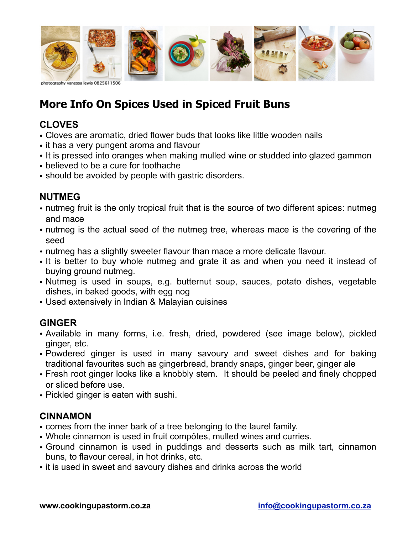

# **More Info On Spices Used in Spiced Fruit Buns**

## **CLOVES**

- Cloves are aromatic, dried flower buds that looks like little wooden nails
- it has a very pungent aroma and flavour
- It is pressed into oranges when making mulled wine or studded into glazed gammon
- believed to be a cure for toothache
- should be avoided by people with gastric disorders.

## **NUTMEG**

- nutmeg fruit is the only tropical fruit that is the source of two different spices: nutmeg and mace
- nutmeg is the actual seed of the nutmeg tree, whereas mace is the covering of the seed
- nutmeg has a slightly sweeter flavour than mace a more delicate flavour.
- It is better to buy whole nutmeg and grate it as and when you need it instead of buying ground nutmeg.
- Nutmeg is used in soups, e.g. butternut soup, sauces, potato dishes, vegetable dishes, in baked goods, with egg nog
- Used extensively in Indian & Malayian cuisines

## **GINGER**

- Available in many forms, i.e. fresh, dried, powdered (see image below), pickled ginger, etc.
- Powdered ginger is used in many savoury and sweet dishes and for baking traditional favourites such as gingerbread, brandy snaps, ginger beer, ginger ale
- Fresh root ginger looks like a knobbly stem. It should be peeled and finely chopped or sliced before use.
- Pickled ginger is eaten with sushi.

#### **CINNAMON**

- comes from the inner bark of a tree belonging to the laurel family.
- Whole cinnamon is used in fruit compôtes, mulled wines and curries.
- Ground cinnamon is used in puddings and desserts such as milk tart, cinnamon buns, to flavour cereal, in hot drinks, etc.
- it is used in sweet and savoury dishes and drinks across the world